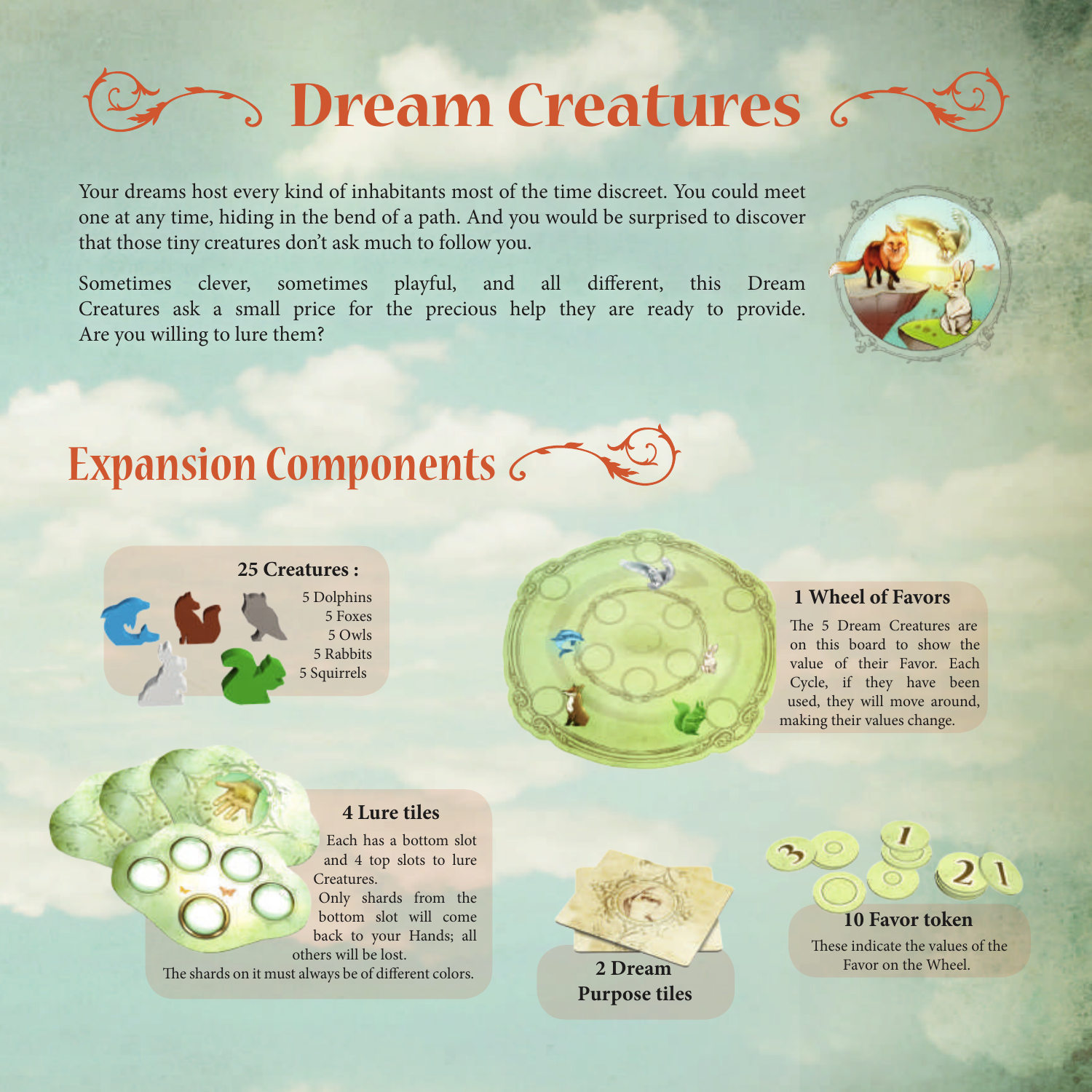# **Dream Creatures**

Your dreams host every kind of inhabitants most of the time discreet. You could meet one at any time, hiding in the bend of a path. And you would be surprised to discover that those tiny creatures don't ask much to follow you.

Sometimes clever, sometimes playful, and all different, this Dream Creatures ask a small price for the precious help they are ready to provide. Are you willing to lure them?



The 5 Dream Creatures are on this board to show the value of their Favor. Each Cycle, if they have been used, they will move around, making their values change.

#### **4 Lure tiles**

Each has a bottom slot and 4 top slots to lure **Creatures** Only shards from the bottom slot will come back to your Hands; all others will be lost.

The shards on it must always be of different colors.

**2 Dream Purpose tiles**



 $\overline{21}$ 

Favor on the Wheel.





#### **25 Creatures :**

5 Dolphins 5 Foxes 5 Owls 5 Rabbits 5 Squirrels

**Expansion Components**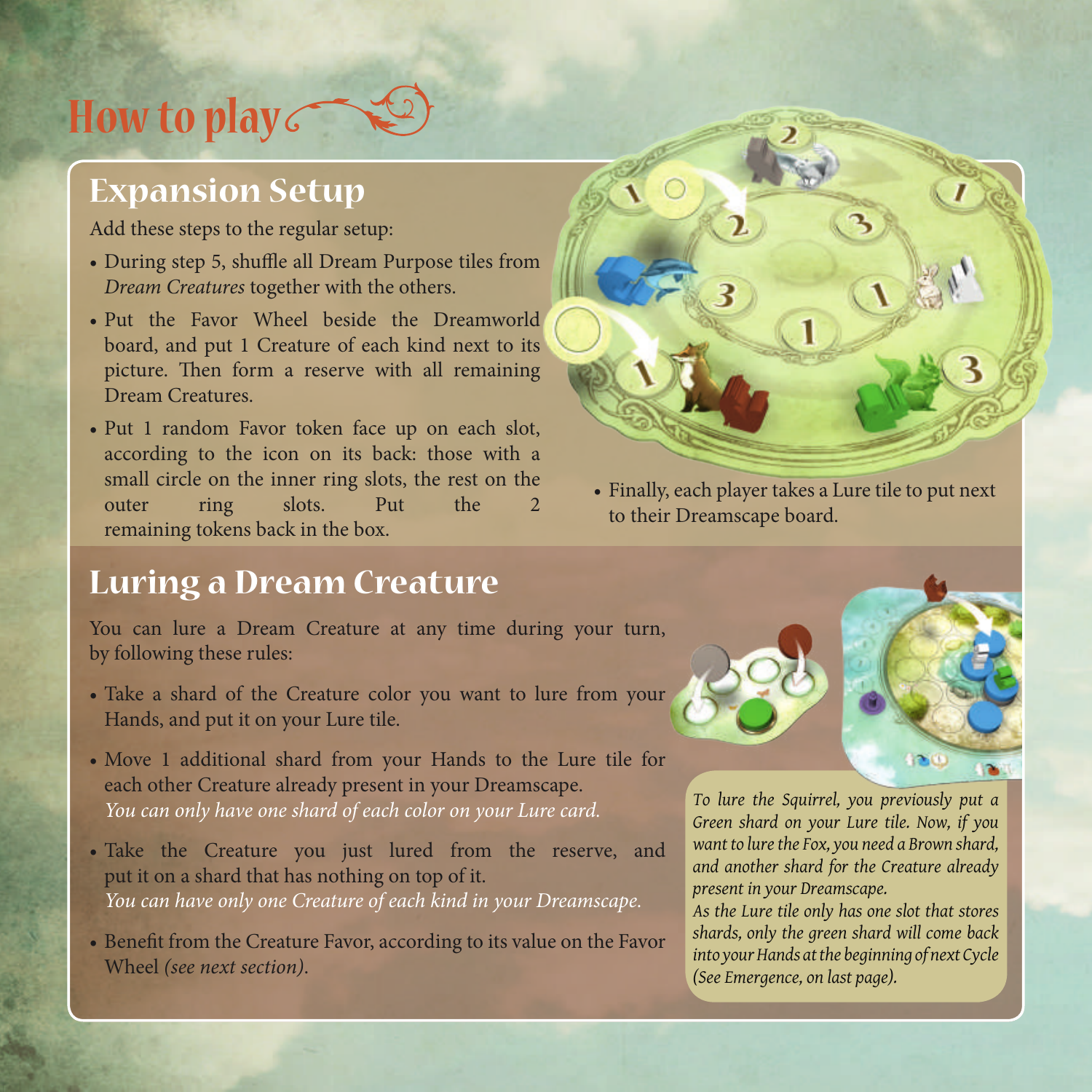## **How to play**

### **Expansion Setup**

Add these steps to the regular setup:

- During step 5, shuffle all Dream Purpose tiles from *Dream Creatures* together with the others.
- Put the Favor Wheel beside the Dreamworld board, and put 1 Creature of each kind next to its picture. Then form a reserve with all remaining Dream Creatures.
- Put 1 random Favor token face up on each slot, according to the icon on its back: those with a small circle on the inner ring slots, the rest on the outer ring slots. Put the 2 remaining tokens back in the box.

#### **Luring a Dream Creature**

You can lure a Dream Creature at any time during your turn, by following these rules:

- Take a shard of the Creature color you want to lure from your Hands, and put it on your Lure tile.
- Move 1 additional shard from your Hands to the Lure tile for each other Creature already present in your Dreamscape. *You can only have one shard of each color on your Lure card.*
- Take the Creature you just lured from the reserve, and put it on a shard that has nothing on top of it. *You can have only one Creature of each kind in your Dreamscape.*
- Benefit from the Creature Favor, according to its value on the Favor Wheel *(see next section)*.



• Finally, each player takes a Lure tile to put next to their Dreamscape board.



*As the Lure tile only has one slot that stores shards, only the green shard will come back into your Hands at the beginning of next Cycle (See Emergence, on last page).*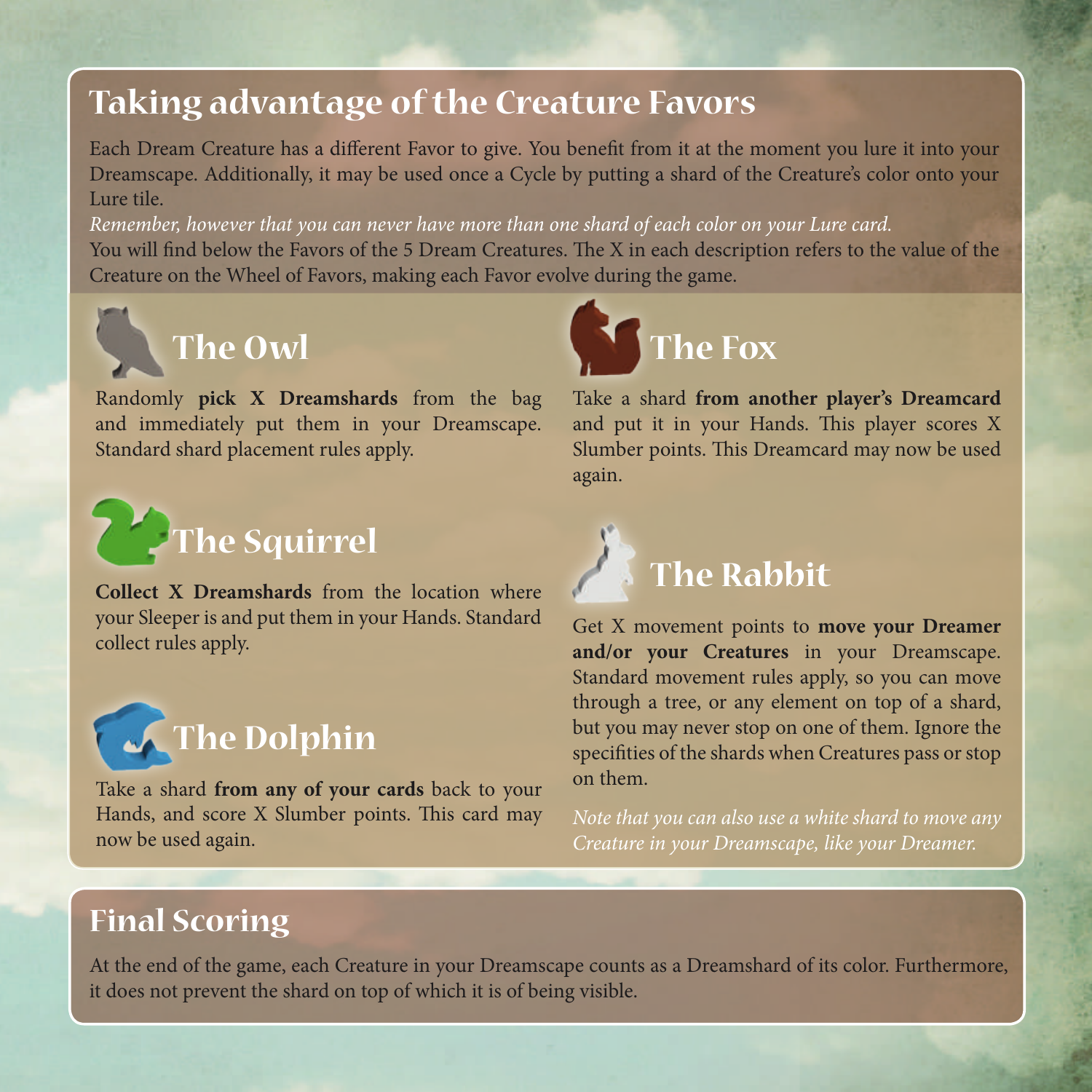#### **Taking advantage of the Creature Favors**

Each Dream Creature has a different Favor to give. You benefit from it at the moment you lure it into your Dreamscape. Additionally, it may be used once a Cycle by putting a shard of the Creature's color onto your Lure tile.

*Remember, however that you can never have more than one shard of each color on your Lure card.* You will find below the Favors of the 5 Dream Creatures. The X in each description refers to the value of the Creature on the Wheel of Favors, making each Favor evolve during the game.



Randomly **pick X Dreamshards** from the bag and immediately put them in your Dreamscape. Standard shard placement rules apply.



**Collect X Dreamshards** from the location where your Sleeper is and put them in your Hands. Standard collect rules apply.



Take a shard **from any of your cards** back to your Hands, and score X Slumber points. This card may now be used again.



Take a shard **from another player's Dreamcard** and put it in your Hands. This player scores X Slumber points. This Dreamcard may now be used again.



Get X movement points to **move your Dreamer and/or your Creatures** in your Dreamscape. Standard movement rules apply, so you can move through a tree, or any element on top of a shard, but you may never stop on one of them. Ignore the specifities of the shards when Creatures pass or stop on them.

*Note that you can also use a white shard to move any Creature in your Dreamscape, like your Dreamer.*

#### **Final Scoring**

At the end of the game, each Creature in your Dreamscape counts as a Dreamshard of its color. Furthermore, it does not prevent the shard on top of which it is of being visible.